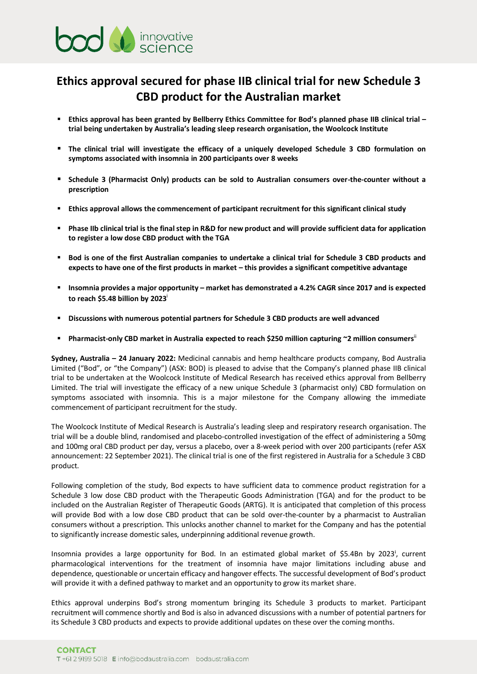

## **Ethics approval secured for phase IIB clinical trial for new Schedule 3 CBD product for the Australian market**

- **Ethics approval has been granted by Bellberry Ethics Committee for Bod's planned phase IIB clinical trial – trial being undertaken by Australia's leading sleep research organisation, the Woolcock Institute**
- **The clinical trial will investigate the efficacy of a uniquely developed Schedule 3 CBD formulation on symptoms associated with insomnia in 200 participants over 8 weeks**
- **Schedule 3 (Pharmacist Only) products can be sold to Australian consumers over-the-counter without a prescription**
- **Ethics approval allows the commencement of participant recruitment for this significant clinical study**
- Phase IIb clinical trial is the final step in R&D for new product and will provide sufficient data for application **to register a low dose CBD product with the TGA**
- **Bod is one of the first Australian companies to undertake a clinical trial for Schedule 3 CBD products and expects to have one of the first products in market – this provides a significant competitive advantage**
- **Insomnia provides a major opportunity – market has demonstrated a 4.2% CAGR since 2017 and is expected to reach \$5.48 billion by 2023**<sup>i</sup>
- **Discussions with numerous potential partners for Schedule 3 CBD products are well advanced**
- **Pharmacist-only CBD market in Australia expected to reach \$250 million capturing ~2 million consumers**ii

**Sydney, Australia – 24 January 2022:** Medicinal cannabis and hemp healthcare products company, Bod Australia Limited ("Bod", or "the Company") (ASX: BOD) is pleased to advise that the Company's planned phase IIB clinical trial to be undertaken at the Woolcock Institute of Medical Research has received ethics approval from Bellberry Limited. The trial will investigate the efficacy of a new unique Schedule 3 (pharmacist only) CBD formulation on symptoms associated with insomnia. This is a major milestone for the Company allowing the immediate commencement of participant recruitment for the study.

The Woolcock Institute of Medical Research is Australia's leading sleep and respiratory research organisation. The trial will be a double blind, randomised and placebo-controlled investigation of the effect of administering a 50mg and 100mg oral CBD product per day, versus a placebo, over a 8-week period with over 200 participants (refer ASX announcement: 22 September 2021). The clinical trial is one of the first registered in Australia for a Schedule 3 CBD product.

Following completion of the study, Bod expects to have sufficient data to commence product registration for a Schedule 3 low dose CBD product with the Therapeutic Goods Administration (TGA) and for the product to be included on the Australian Register of Therapeutic Goods (ARTG). It is anticipated that completion of this process will provide Bod with a low dose CBD product that can be sold over-the-counter by a pharmacist to Australian consumers without a prescription. This unlocks another channel to market for the Company and has the potential to significantly increase domestic sales, underpinning additional revenue growth.

Insomnia provides a large opportunity for Bod. In an estimated global market of \$5.4Bn by 2023<sup>i</sup>, current pharmacological interventions for the treatment of insomnia have major limitations including abuse and dependence, questionable or uncertain efficacy and hangover effects. The successful development of Bod's product will provide it with a defined pathway to market and an opportunity to grow its market share. its Schedule 3 CBD products and expects to provide additional updates on these over the coming and<br>informal provides a large opportunity for Bod. In an estimated global market of \$5.4Bn by 2023<br>pharmacological intervention

Ethics approval underpins Bod's strong momentum bringing its Schedule 3 products to market. Participant recruitment will commence shortly and Bod is also in advanced discussions with a number of potential partners for